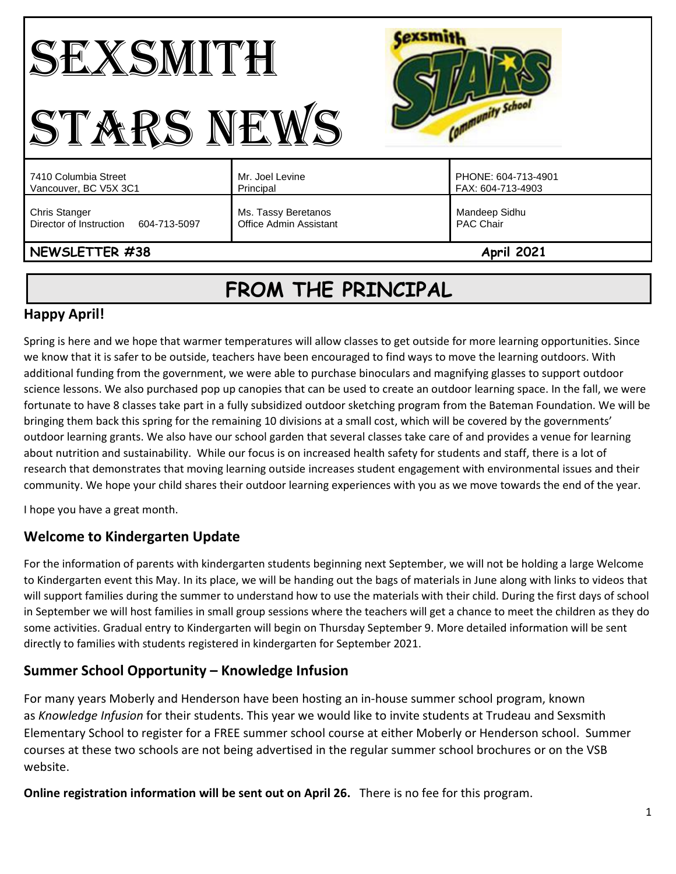#### **Cexsmith** SEXSMITH Community School STARS NEWS PHONE: 604-713-4901 7410 Columbia Street Mr. Joel Levine Vancouver, BC V5X 3C1 Principal FAX: 604-713-4903 Chris Stanger Ms. Tassy Beretanos Mandeep Sidhu Director of Instruction 604-713-5097 Office Admin Assistant PAC Chair **NEWSLETTER #38** April 2021

# **FROM THE PRINCIPAL**

# **Happy April!**

Spring is here and we hope that warmer temperatures will allow classes to get outside for more learning opportunities. Since we know that it is safer to be outside, teachers have been encouraged to find ways to move the learning outdoors. With additional funding from the government, we were able to purchase binoculars and magnifying glasses to support outdoor science lessons. We also purchased pop up canopies that can be used to create an outdoor learning space. In the fall, we were fortunate to have 8 classes take part in a fully subsidized outdoor sketching program from the Bateman Foundation. We will be bringing them back this spring for the remaining 10 divisions at a small cost, which will be covered by the governments' outdoor learning grants. We also have our school garden that several classes take care of and provides a venue for learning about nutrition and sustainability. While our focus is on increased health safety for students and staff, there is a lot of research that demonstrates that moving learning outside increases student engagement with environmental issues and their community. We hope your child shares their outdoor learning experiences with you as we move towards the end of the year.

I hope you have a great month.

# **Welcome to Kindergarten Update**

For the information of parents with kindergarten students beginning next September, we will not be holding a large Welcome to Kindergarten event this May. In its place, we will be handing out the bags of materials in June along with links to videos that will support families during the summer to understand how to use the materials with their child. During the first days of school in September we will host families in small group sessions where the teachers will get a chance to meet the children as they do some activities. Gradual entry to Kindergarten will begin on Thursday September 9. More detailed information will be sent directly to families with students registered in kindergarten for September 2021.

# **Summer School Opportunity – Knowledge Infusion**

For many years Moberly and Henderson have been hosting an in-house summer school program, known as *Knowledge Infusion* for their students. This year we would like to invite students at Trudeau and Sexsmith Elementary School to register for a FREE summer school course at either Moberly or Henderson school. Summer courses at these two schools are not being advertised in the regular summer school brochures or on the VSB website.

**Online registration information will be sent out on April 26.** There is no fee for this program.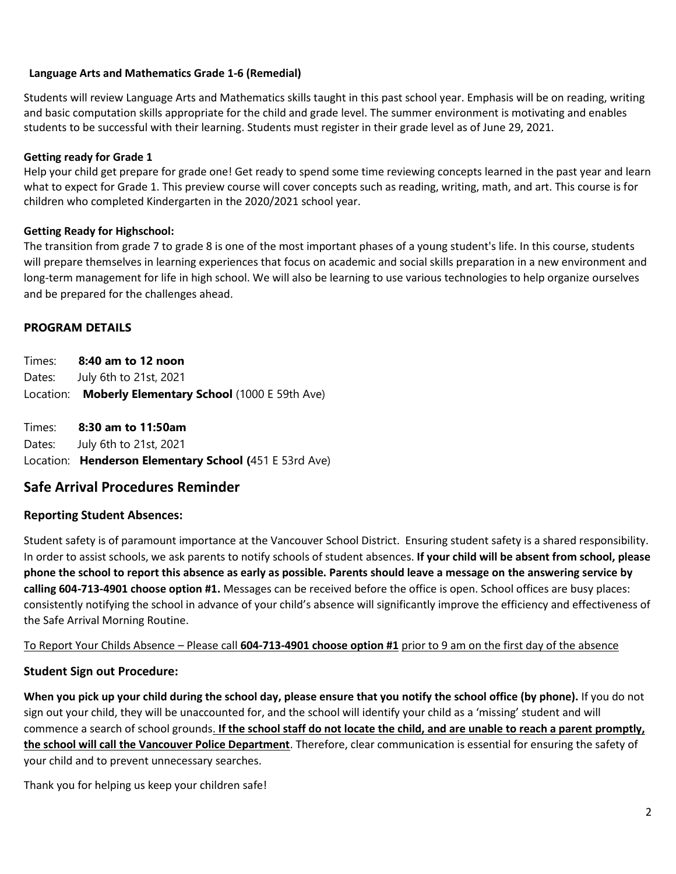#### **Language Arts and Mathematics Grade 1-6 (Remedial)**

Students will review Language Arts and Mathematics skills taught in this past school year. Emphasis will be on reading, writing and basic computation skills appropriate for the child and grade level. The summer environment is motivating and enables students to be successful with their learning. Students must register in their grade level as of June 29, 2021.

#### **Getting ready for Grade 1**

Help your child get prepare for grade one! Get ready to spend some time reviewing concepts learned in the past year and learn what to expect for Grade 1. This preview course will cover concepts such as reading, writing, math, and art. This course is for children who completed Kindergarten in the 2020/2021 school year.

#### **Getting Ready for Highschool:**

The transition from grade 7 to grade 8 is one of the most important phases of a young student's life. In this course, students will prepare themselves in learning experiences that focus on academic and social skills preparation in a new environment and long-term management for life in high school. We will also be learning to use various technologies to help organize ourselves and be prepared for the challenges ahead.

### **PROGRAM DETAILS**

Times: **8:40 am to 12 noon** Dates: July 6th to 21st, 2021 Location: **Moberly Elementary School** (1000 E 59th Ave)

Times: **8:30 am to 11:50am** Dates: July 6th to 21st, 2021 Location: **Henderson Elementary School (**451 E 53rd Ave)

## **Safe Arrival Procedures Reminder**

### **Reporting Student Absences:**

Student safety is of paramount importance at the Vancouver School District. Ensuring student safety is a shared responsibility. In order to assist schools, we ask parents to notify schools of student absences. **If your child will be absent from school, please phone the school to report this absence as early as possible. Parents should leave a message on the answering service by calling 604-713-4901 choose option #1.** Messages can be received before the office is open. School offices are busy places: consistently notifying the school in advance of your child's absence will significantly improve the efficiency and effectiveness of the Safe Arrival Morning Routine.

To Report Your Childs Absence – Please call **604-713-4901 choose option #1** prior to 9 am on the first day of the absence

### **Student Sign out Procedure:**

**When you pick up your child during the school day, please ensure that you notify the school office (by phone).** If you do not sign out your child, they will be unaccounted for, and the school will identify your child as a 'missing' student and will commence a search of school grounds. **If the school staff do not locate the child, and are unable to reach a parent promptly, the school will call the Vancouver Police Department**. Therefore, clear communication is essential for ensuring the safety of your child and to prevent unnecessary searches.

Thank you for helping us keep your children safe!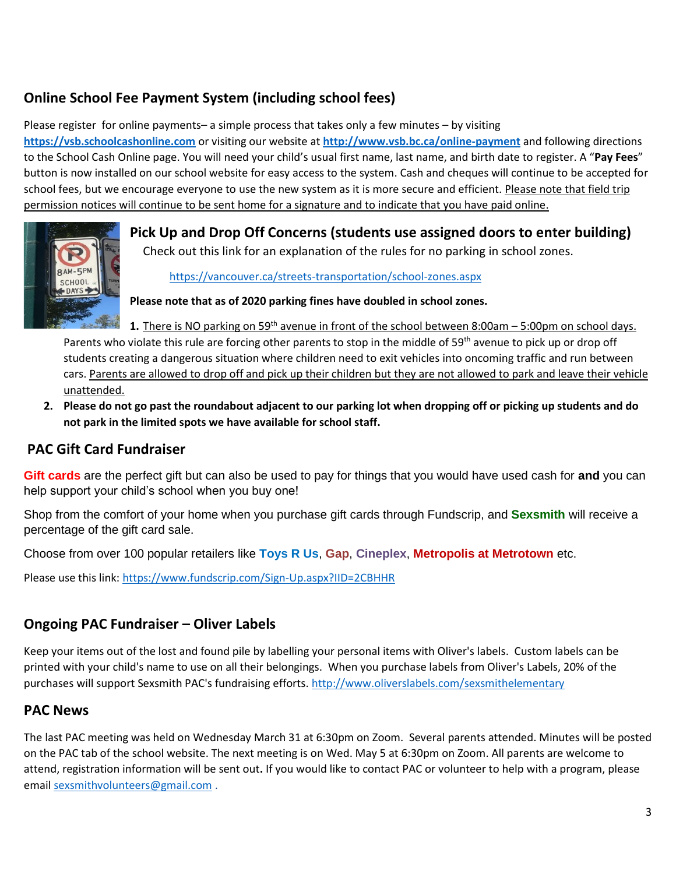# **Online School Fee Payment System (including school fees)**

Please register for online payments– a simple process that takes only a few minutes – by visiting **[https://vsb.schoolcashonline.com](https://vsb.schoolcashonline.com/)** or visiting our website at **<http://www.vsb.bc.ca/online-payment>** and following directions to the School Cash Online page. You will need your child's usual first name, last name, and birth date to register. A "**Pay Fees**" button is now installed on our school website for easy access to the system. Cash and cheques will continue to be accepted for school fees, but we encourage everyone to use the new system as it is more secure and efficient. Please note that field trip permission notices will continue to be sent home for a signature and to indicate that you have paid online.



**Pick Up and Drop Off Concerns (students use assigned doors to enter building)** Check out this link for an explanation of the rules for no parking in school zones.

<https://vancouver.ca/streets-transportation/school-zones.aspx>

**Please note that as of 2020 parking fines have doubled in school zones.** 

**1.** There is NO parking on 59<sup>th</sup> avenue in front of the school between 8:00am – 5:00pm on school days. Parents who violate this rule are forcing other parents to stop in the middle of 59<sup>th</sup> avenue to pick up or drop off students creating a dangerous situation where children need to exit vehicles into oncoming traffic and run between cars. Parents are allowed to drop off and pick up their children but they are not allowed to park and leave their vehicle unattended.

**2. Please do not go past the roundabout adjacent to our parking lot when dropping off or picking up students and do not park in the limited spots we have available for school staff.** 

## **PAC Gift Card Fundraiser**

**Gift cards** are the perfect gift but can also be used to pay for things that you would have used cash for **and** you can help support your child's school when you buy one!

Shop from the comfort of your home when you purchase gift cards through Fundscrip, and **Sexsmith** will receive a percentage of the gift card sale.

Choose from over 100 popular retailers like **Toys R Us**, **Gap**, **Cineplex**, **Metropolis at Metrotown** etc.

Please use this link:<https://www.fundscrip.com/Sign-Up.aspx?IID=2CBHHR>

# **Ongoing PAC Fundraiser – Oliver Labels**

Keep your items out of the lost and found pile by labelling your personal items with Oliver's labels. Custom labels can be printed with your child's name to use on all their belongings. When you purchase labels from Oliver's Labels, 20% of the purchases will support Sexsmith PAC's fundraising efforts.<http://www.oliverslabels.com/sexsmithelementary>

# **PAC News**

The last PAC meeting was held on Wednesday March 31 at 6:30pm on Zoom. Several parents attended. Minutes will be posted on the PAC tab of the school website. The next meeting is on Wed. May 5 at 6:30pm on Zoom. All parents are welcome to attend, registration information will be sent out**.** If you would like to contact PAC or volunteer to help with a program, please emai[l sexsmithvolunteers@gmail.com](mailto:sexsmithvolunteers@gmail.com) .